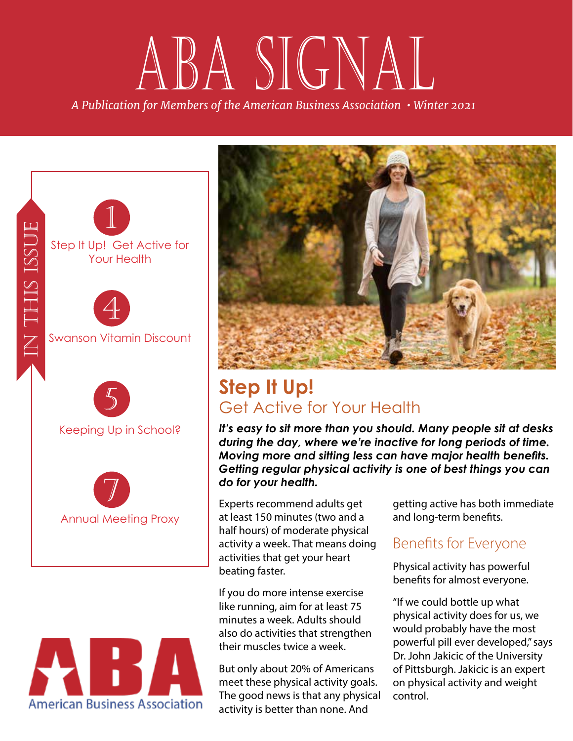# ABA SIGNAL

*A Publication for Members of the American Business Association • Winter 2021*







# **Step It Up!** Get Active for Your Health

*It's easy to sit more than you should. Many people sit at desks during the day, where we're inactive for long periods of time. Moving more and sitting less can have major health benefits. Getting regular physical activity is one of best things you can do for your health.*

Experts recommend adults get at least 150 minutes (two and a half hours) of moderate physical activity a week. That means doing activities that get your heart beating faster.

If you do more intense exercise like running, aim for at least 75 minutes a week. Adults should also do activities that strengthen their muscles twice a week.

But only about 20% of Americans meet these physical activity goals. The good news is that any physical activity is better than none. And

getting active has both immediate and long-term benefits.

#### Benefits for Everyone

Physical activity has powerful benefits for almost everyone.

"If we could bottle up what physical activity does for us, we would probably have the most powerful pill ever developed," says Dr. John Jakicic of the University of Pittsburgh. Jakicic is an expert on physical activity and weight control.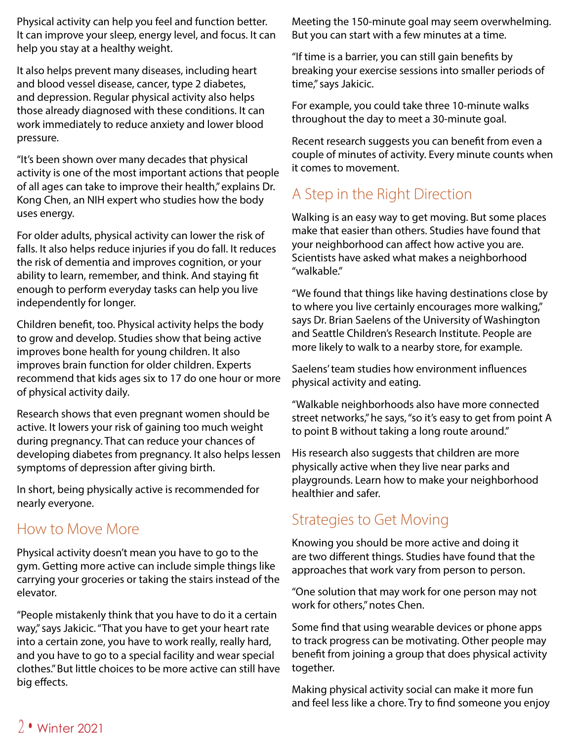Physical activity can help you feel and function better. It can improve your sleep, energy level, and focus. It can help you stay at a healthy weight.

It also helps prevent many diseases, including heart and blood vessel disease, cancer, type 2 diabetes, and depression. Regular physical activity also helps those already diagnosed with these conditions. It can work immediately to reduce anxiety and lower blood pressure.

"It's been shown over many decades that physical activity is one of the most important actions that people of all ages can take to improve their health," explains Dr. Kong Chen, an NIH expert who studies how the body uses energy.

For older adults, physical activity can lower the risk of falls. It also helps reduce injuries if you do fall. It reduces the risk of dementia and improves cognition, or your ability to learn, remember, and think. And staying fit enough to perform everyday tasks can help you live independently for longer.

Children benefit, too. Physical activity helps the body to grow and develop. Studies show that being active improves bone health for young children. It also improves brain function for older children. Experts recommend that kids ages six to 17 do one hour or more of physical activity daily.

Research shows that even pregnant women should be active. It lowers your risk of gaining too much weight during pregnancy. That can reduce your chances of developing diabetes from pregnancy. It also helps lessen symptoms of depression after giving birth.

In short, being physically active is recommended for nearly everyone.

#### How to Move More

Physical activity doesn't mean you have to go to the gym. Getting more active can include simple things like carrying your groceries or taking the stairs instead of the elevator.

"People mistakenly think that you have to do it a certain way," says Jakicic. "That you have to get your heart rate into a certain zone, you have to work really, really hard, and you have to go to a special facility and wear special clothes." But little choices to be more active can still have big effects.

Meeting the 150-minute goal may seem overwhelming. But you can start with a few minutes at a time.

"If time is a barrier, you can still gain benefits by breaking your exercise sessions into smaller periods of time," says Jakicic.

For example, you could take three 10-minute walks throughout the day to meet a 30-minute goal.

Recent research suggests you can benefit from even a couple of minutes of activity. Every minute counts when it comes to movement.

## A Step in the Right Direction

Walking is an easy way to get moving. But some places make that easier than others. Studies have found that your neighborhood can affect how active you are. Scientists have asked what makes a neighborhood "walkable."

"We found that things like having destinations close by to where you live certainly encourages more walking," says Dr. Brian Saelens of the University of Washington and Seattle Children's Research Institute. People are more likely to walk to a nearby store, for example.

Saelens' team studies how environment influences physical activity and eating.

"Walkable neighborhoods also have more connected street networks," he says, "so it's easy to get from point A to point B without taking a long route around."

His research also suggests that children are more physically active when they live near parks and playgrounds. Learn how to make your neighborhood healthier and safer.

#### Strategies to Get Moving

Knowing you should be more active and doing it are two different things. Studies have found that the approaches that work vary from person to person.

"One solution that may work for one person may not work for others," notes Chen.

Some find that using wearable devices or phone apps to track progress can be motivating. Other people may benefit from joining a group that does physical activity together.

Making physical activity social can make it more fun and feel less like a chore. Try to find someone you enjoy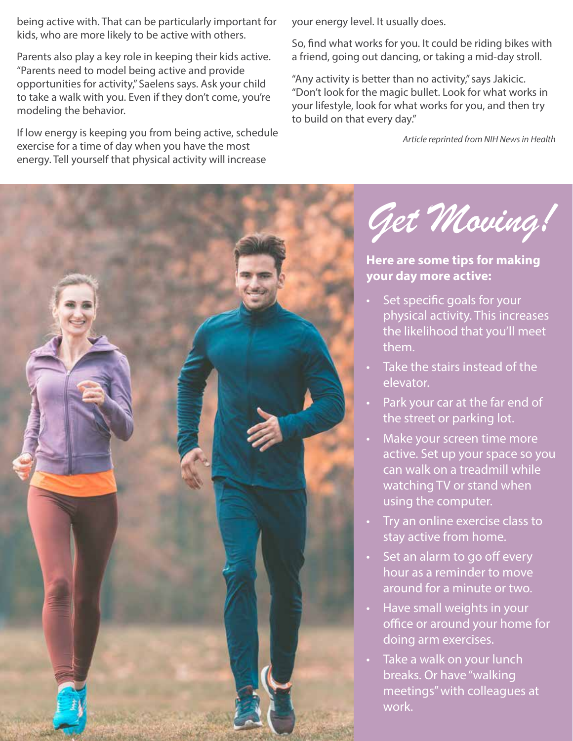being active with. That can be particularly important for kids, who are more likely to be active with others.

Parents also play a key role in keeping their kids active. "Parents need to model being active and provide opportunities for activity," Saelens says. Ask your child to take a walk with you. Even if they don't come, you're modeling the behavior.

If low energy is keeping you from being active, schedule exercise for a time of day when you have the most energy. Tell yourself that physical activity will increase

your energy level. It usually does.

So, find what works for you. It could be riding bikes with a friend, going out dancing, or taking a mid-day stroll.

"Any activity is better than no activity," says Jakicic. "Don't look for the magic bullet. Look for what works in your lifestyle, look for what works for you, and then try to build on that every day."

*Article reprinted from NIH News in Health*



*Get Moving!*

#### **Here are some tips for making your day more active:**

- Set specific goals for your physical activity. This increases the likelihood that you'll meet them.
- Take the stairs instead of the elevator.
- Park your car at the far end of the street or parking lot.
- Make your screen time more active. Set up your space so you can walk on a treadmill while watching TV or stand when using the computer.
- Try an online exercise class to stay active from home.
- Set an alarm to go off every hour as a reminder to move around for a minute or two.
- Have small weights in your office or around your home for doing arm exercises.
- Take a walk on your lunch breaks. Or have "walking meetings" with colleagues at work.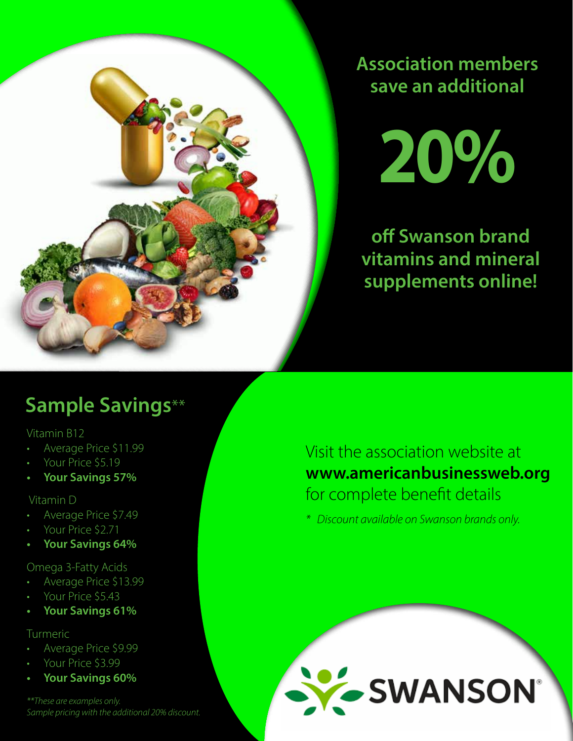

# **Association members save an additional**

**20%**

**off Swanson brand vitamins and mineral supplements online!**

# **Sample Savings**\*\*

#### Vitamin B12

- Average Price \$11.99
- Your Price \$5.19
- **• Your Savings 57%**

#### Vitamin D

- Average Price \$7.49
- Your Price \$2.71
- **• Your Savings 64%**

Omega 3-Fatty Acids

- Average Price \$13.99
- Your Price \$5.43
- **• Your Savings 61%**

#### Turmeric

- Average Price \$9.99
- Your Price \$3.99
- **• Your Savings 60%**

*\*\*These are examples only. Sample pricing with the additional 20% discount.*

# Visit the association website at **www.americanbusinessweb.org** for complete benefit details

*\* Discount available on Swanson brands only.*

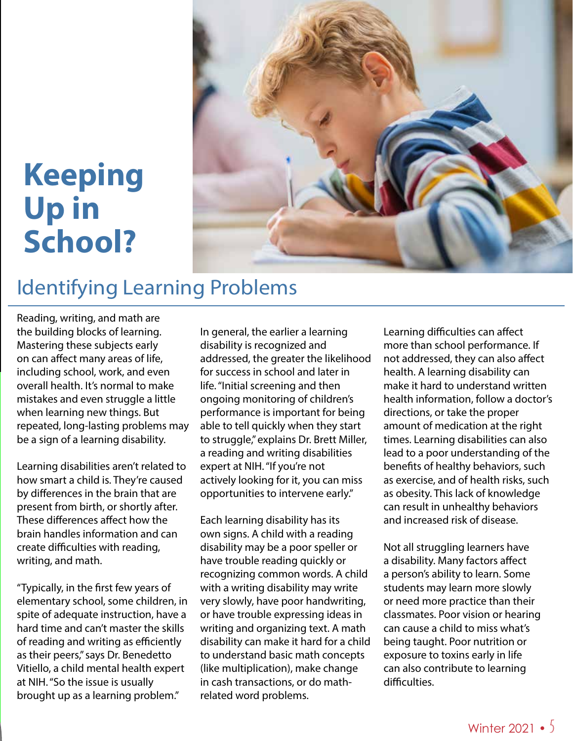# **Keeping Up in School?**



# Identifying Learning Problems

Reading, writing, and math are the building blocks of learning. Mastering these subjects early on can affect many areas of life, including school, work, and even overall health. It's normal to make mistakes and even struggle a little when learning new things. But repeated, long-lasting problems may be a sign of a learning disability.

Learning disabilities aren't related to how smart a child is. They're caused by differences in the brain that are present from birth, or shortly after. These differences affect how the brain handles information and can create difficulties with reading, writing, and math.

"Typically, in the first few years of elementary school, some children, in spite of adequate instruction, have a hard time and can't master the skills of reading and writing as efficiently as their peers," says Dr. Benedetto Vitiello, a child mental health expert at NIH. "So the issue is usually brought up as a learning problem."

In general, the earlier a learning disability is recognized and addressed, the greater the likelihood for success in school and later in life. "Initial screening and then ongoing monitoring of children's performance is important for being able to tell quickly when they start to struggle," explains Dr. Brett Miller, a reading and writing disabilities expert at NIH. "If you're not actively looking for it, you can miss opportunities to intervene early."

Each learning disability has its own signs. A child with a reading disability may be a poor speller or have trouble reading quickly or recognizing common words. A child with a writing disability may write very slowly, have poor handwriting, or have trouble expressing ideas in writing and organizing text. A math disability can make it hard for a child to understand basic math concepts (like multiplication), make change in cash transactions, or do mathrelated word problems.

Learning difficulties can affect more than school performance. If not addressed, they can also affect health. A learning disability can make it hard to understand written health information, follow a doctor's directions, or take the proper amount of medication at the right times. Learning disabilities can also lead to a poor understanding of the benefits of healthy behaviors, such as exercise, and of health risks, such as obesity. This lack of knowledge can result in unhealthy behaviors and increased risk of disease.

Not all struggling learners have a disability. Many factors affect a person's ability to learn. Some students may learn more slowly or need more practice than their classmates. Poor vision or hearing can cause a child to miss what's being taught. Poor nutrition or exposure to toxins early in life can also contribute to learning difficulties.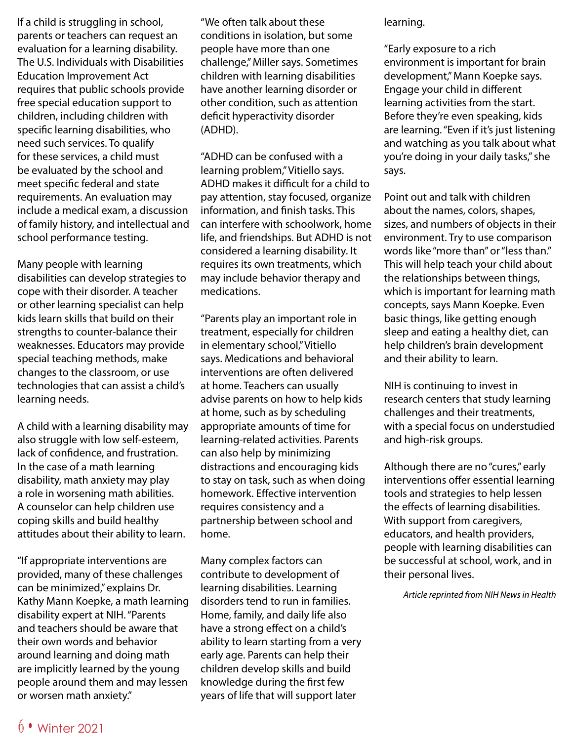If a child is struggling in school, parents or teachers can request an evaluation for a learning disability. The U.S. Individuals with Disabilities Education Improvement Act requires that public schools provide free special education support to children, including children with specific learning disabilities, who need such services. To qualify for these services, a child must be evaluated by the school and meet specific federal and state requirements. An evaluation may include a medical exam, a discussion of family history, and intellectual and school performance testing.

Many people with learning disabilities can develop strategies to cope with their disorder. A teacher or other learning specialist can help kids learn skills that build on their strengths to counter-balance their weaknesses. Educators may provide special teaching methods, make changes to the classroom, or use technologies that can assist a child's learning needs.

A child with a learning disability may also struggle with low self-esteem, lack of confidence, and frustration. In the case of a math learning disability, math anxiety may play a role in worsening math abilities. A counselor can help children use coping skills and build healthy attitudes about their ability to learn.

"If appropriate interventions are provided, many of these challenges can be minimized," explains Dr. Kathy Mann Koepke, a math learning disability expert at NIH. "Parents and teachers should be aware that their own words and behavior around learning and doing math are implicitly learned by the young people around them and may lessen or worsen math anxiety."

"We often talk about these conditions in isolation, but some people have more than one challenge," Miller says. Sometimes children with learning disabilities have another learning disorder or other condition, such as attention deficit hyperactivity disorder (ADHD).

"ADHD can be confused with a learning problem," Vitiello says. ADHD makes it difficult for a child to pay attention, stay focused, organize information, and finish tasks. This can interfere with schoolwork, home life, and friendships. But ADHD is not considered a learning disability. It requires its own treatments, which may include behavior therapy and medications.

"Parents play an important role in treatment, especially for children in elementary school," Vitiello says. Medications and behavioral interventions are often delivered at home. Teachers can usually advise parents on how to help kids at home, such as by scheduling appropriate amounts of time for learning-related activities. Parents can also help by minimizing distractions and encouraging kids to stay on task, such as when doing homework. Effective intervention requires consistency and a partnership between school and home.

Many complex factors can contribute to development of learning disabilities. Learning disorders tend to run in families. Home, family, and daily life also have a strong effect on a child's ability to learn starting from a very early age. Parents can help their children develop skills and build knowledge during the first few years of life that will support later

learning.

"Early exposure to a rich environment is important for brain development," Mann Koepke says. Engage your child in different learning activities from the start. Before they're even speaking, kids are learning. "Even if it's just listening and watching as you talk about what you're doing in your daily tasks," she says.

Point out and talk with children about the names, colors, shapes, sizes, and numbers of objects in their environment. Try to use comparison words like "more than" or "less than." This will help teach your child about the relationships between things, which is important for learning math concepts, says Mann Koepke. Even basic things, like getting enough sleep and eating a healthy diet, can help children's brain development and their ability to learn.

NIH is continuing to invest in research centers that study learning challenges and their treatments, with a special focus on understudied and high-risk groups.

Although there are no "cures," early interventions offer essential learning tools and strategies to help lessen the effects of learning disabilities. With support from caregivers, educators, and health providers, people with learning disabilities can be successful at school, work, and in their personal lives.

*Article reprinted from NIH News in Health*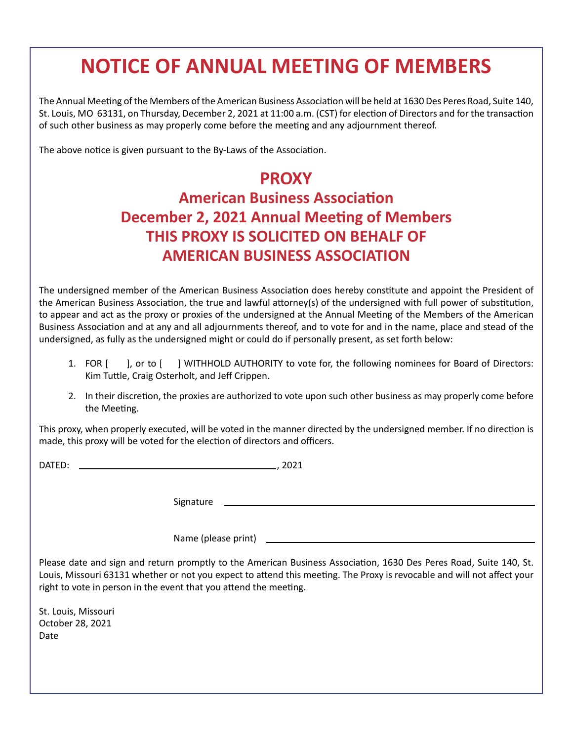# **NOTICE OF ANNUAL MEETING OF MEMBERS**

The Annual Meeting of the Members of the American Business Association will be held at 1630 Des Peres Road, Suite 140, St. Louis, MO 63131, on Thursday, December 2, 2021 at 11:00 a.m. (CST) for election of Directors and for the transaction of such other business as may properly come before the meeting and any adjournment thereof.

The above notice is given pursuant to the By-Laws of the Association.

### **PROXY American Business Association December 2, 2021 Annual Meeting of Members THIS PROXY IS SOLICITED ON BEHALF OF AMERICAN BUSINESS ASSOCIATION**

The undersigned member of the American Business Association does hereby constitute and appoint the President of the American Business Association, the true and lawful attorney(s) of the undersigned with full power of substitution, to appear and act as the proxy or proxies of the undersigned at the Annual Meeting of the Members of the American Business Association and at any and all adjournments thereof, and to vote for and in the name, place and stead of the undersigned, as fully as the undersigned might or could do if personally present, as set forth below:

- 1. FOR [ ], or to [ ] WITHHOLD AUTHORITY to vote for, the following nominees for Board of Directors: Kim Tuttle, Craig Osterholt, and Jeff Crippen.
- 2. In their discretion, the proxies are authorized to vote upon such other business as may properly come before the Meeting.

This proxy, when properly executed, will be voted in the manner directed by the undersigned member. If no direction is made, this proxy will be voted for the election of directors and officers.

Signature

Name (please print)

Please date and sign and return promptly to the American Business Association, 1630 Des Peres Road, Suite 140, St. Louis, Missouri 63131 whether or not you expect to attend this meeting. The Proxy is revocable and will not affect your right to vote in person in the event that you attend the meeting.

St. Louis, Missouri October 28, 2021 Date